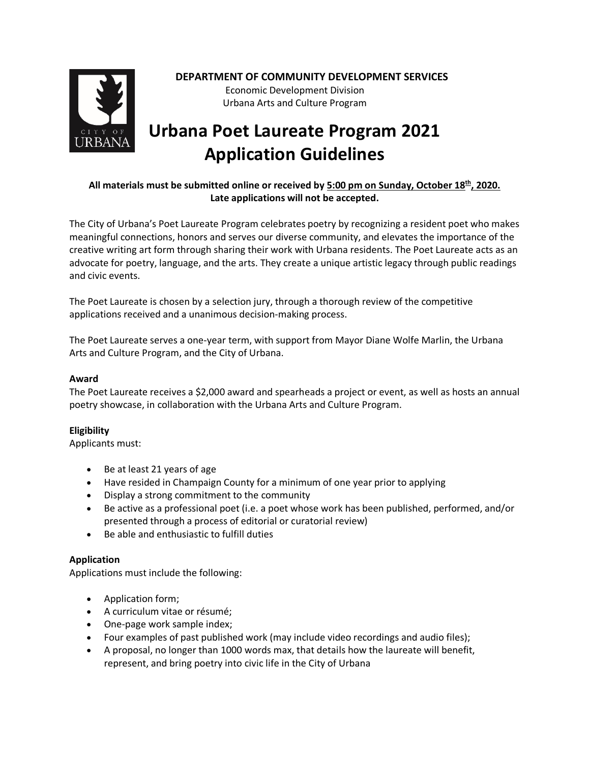

# **DEPARTMENT OF COMMUNITY DEVELOPMENT SERVICES**

Economic Development Division Urbana Arts and Culture Program

# **Urbana Poet Laureate Program 2021 Application Guidelines**

## **All materials must be submitted online or received by 5:00 pm on Sunday, October 18th, 2020. Late applications will not be accepted.**

The City of Urbana's Poet Laureate Program celebrates poetry by recognizing a resident poet who makes meaningful connections, honors and serves our diverse community, and elevates the importance of the creative writing art form through sharing their work with Urbana residents. The Poet Laureate acts as an advocate for poetry, language, and the arts. They create a unique artistic legacy through public readings and civic events.

The Poet Laureate is chosen by a selection jury, through a thorough review of the competitive applications received and a unanimous decision-making process.

The Poet Laureate serves a one-year term, with support from Mayor Diane Wolfe Marlin, the Urbana Arts and Culture Program, and the City of Urbana.

### **Award**

The Poet Laureate receives a \$2,000 award and spearheads a project or event, as well as hosts an annual poetry showcase, in collaboration with the Urbana Arts and Culture Program.

#### **Eligibility**

Applicants must:

- Be at least 21 years of age
- Have resided in Champaign County for a minimum of one year prior to applying
- Display a strong commitment to the community
- Be active as a professional poet (i.e. a poet whose work has been published, performed, and/or presented through a process of editorial or curatorial review)
- Be able and enthusiastic to fulfill duties

#### **Application**

Applications must include the following:

- Application form;
- A curriculum vitae or résumé;
- One-page work sample index;
- Four examples of past published work (may include video recordings and audio files);
- A proposal, no longer than 1000 words max, that details how the laureate will benefit, represent, and bring poetry into civic life in the City of Urbana